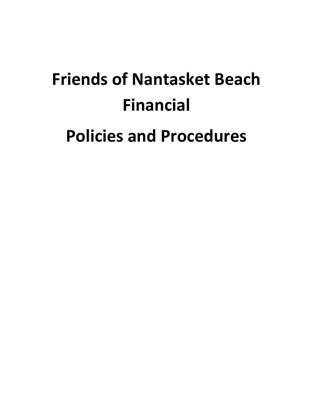# **Friends of Nantasket Beach Financial Policies and Procedures**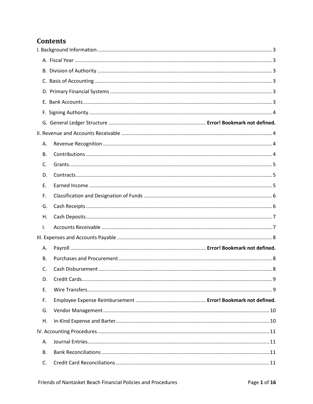# **Contents**

| Α.        |  |
|-----------|--|
| <b>B.</b> |  |
| C.        |  |
| D.        |  |
| Ε.        |  |
| F.        |  |
| G.        |  |
| Η.        |  |
| I.        |  |
|           |  |
| А.        |  |
| В.        |  |
| C.        |  |
| D.        |  |
| Ε.        |  |
| F.        |  |
| G.        |  |
| Η.        |  |
|           |  |
| Α.        |  |
| В.        |  |
| C.        |  |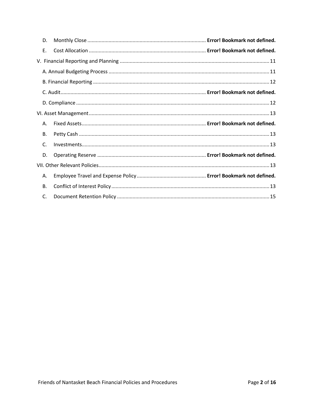| D.        |  |
|-----------|--|
| E.        |  |
|           |  |
|           |  |
|           |  |
|           |  |
|           |  |
|           |  |
|           |  |
| Α.        |  |
| В.        |  |
| C.        |  |
| D.        |  |
|           |  |
| А.        |  |
| <b>B.</b> |  |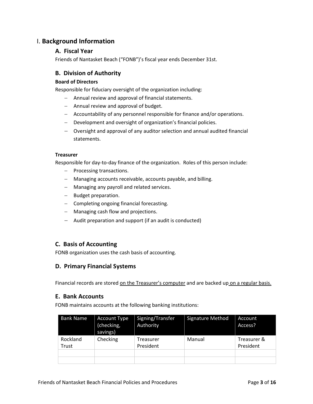# <span id="page-3-1"></span><span id="page-3-0"></span>I. **Background Information**

## **A. Fiscal Year**

Friends of Nantasket Beach ("FONB")'s fiscal year ends December 31st.

# <span id="page-3-2"></span>**B. Division of Authority**

#### **Board of Directors**

Responsible for fiduciary oversight of the organization including:

- − Annual review and approval of financial statements.
- − Annual review and approval of budget.
- − Accountability of any personnel responsible for finance and/or operations.
- − Development and oversight of organization's financial policies.
- − Oversight and approval of any auditor selection and annual audited financial statements.

#### **Treasurer**

Responsible for day-to-day finance of the organization. Roles of this person include:

- − Processing transactions.
- − Managing accounts receivable, accounts payable, and billing.
- − Managing any payroll and related services.
- − Budget preparation.
- − Completing ongoing financial forecasting.
- − Managing cash flow and projections.
- − Audit preparation and support (if an audit is conducted)

## <span id="page-3-3"></span>**C. Basis of Accounting**

FONB organization uses the cash basis of accounting.

# <span id="page-3-4"></span>**D. Primary Financial Systems**

Financial records are stored on the Treasurer's computer and are backed up on a regular basis.

## <span id="page-3-5"></span>**E. Bank Accounts**

FONB maintains accounts at the following banking institutions:

| <b>Bank Name</b>  | <b>Account Type</b><br>(checking,<br>savings) | Signing/Transfer<br>Authority | <b>Signature Method</b> | Account<br>Access?       |
|-------------------|-----------------------------------------------|-------------------------------|-------------------------|--------------------------|
| Rockland<br>Trust | Checking                                      | Treasurer<br>President        | Manual                  | Treasurer &<br>President |
|                   |                                               |                               |                         |                          |
|                   |                                               |                               |                         |                          |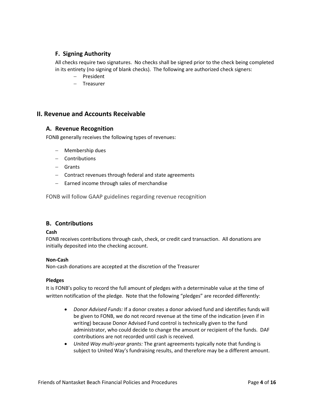# <span id="page-4-0"></span>**F. Signing Authority**

All checks require two signatures. No checks shall be signed prior to the check being completed in its entirety (no signing of blank checks). The following are authorized check signers:

- − President
- − Treasurer

# <span id="page-4-2"></span><span id="page-4-1"></span>**II. Revenue and Accounts Receivable**

#### **A. Revenue Recognition**

FONB generally receives the following types of revenues:

- − Membership dues
- − Contributions
- − Grants
- − Contract revenues through federal and state agreements
- − Earned income through sales of merchandise

FONB will follow GAAP guidelines regarding revenue recognition

## <span id="page-4-3"></span>**B. Contributions**

#### **Cash**

FONB receives contributions through cash, check, or credit card transaction. All donations are initially deposited into the checking account.

#### **Non-Cash**

Non-cash donations are accepted at the discretion of the Treasurer

#### **Pledges**

It is FONB's policy to record the full amount of pledges with a determinable value at the time of written notification of the pledge. Note that the following "pledges" are recorded differently:

- *Donor Advised Funds:* If a donor creates a donor advised fund and identifies funds will be given to FONB, we do not record revenue at the time of the indication (even if in writing) because Donor Advised Fund control is technically given to the fund administrator, who could decide to change the amount or recipient of the funds. DAF contributions are not recorded until cash is received.
- *United Way multi-year grants:* The grant agreements typically note that funding is subject to United Way's fundraising results, and therefore may be a different amount.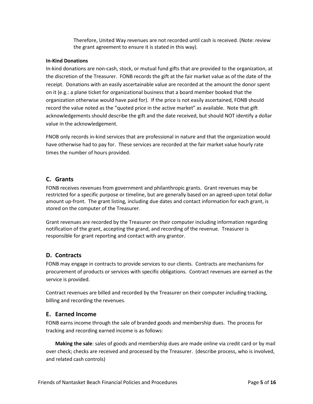Therefore, United Way revenues are not recorded until cash is received. (Note: review the grant agreement to ensure it is stated in this way).

#### **In-Kind Donations**

In-kind donations are non-cash, stock, or mutual fund gifts that are provided to the organization, at the discretion of the Treasurer. FONB records the gift at the fair market value as of the date of the receipt. Donations with an easily ascertainable value are recorded at the amount the donor spent on it (e.g.: a plane ticket for organizational business that a board member booked that the organization otherwise would have paid for). If the price is not easily ascertained, FONB should record the value noted as the "quoted price in the active market" as available. Note that gift acknowledgements should describe the gift and the date received, but should NOT identify a dollar value in the acknowledgement.

FNOB only records in-kind services that are professional in nature and that the organization would have otherwise had to pay for. These services are recorded at the fair market value hourly rate times the number of hours provided.

## <span id="page-5-0"></span>**C. Grants**

FONB receives revenues from government and philanthropic grants. Grant revenues may be restricted for a specific purpose or timeline, but are generally based on an agreed-upon total dollar amount up-front. The grant listing, including due dates and contact information for each grant, is stored on the computer of the Treasurer.

Grant revenues are recorded by the Treasurer on their computer including information regarding notification of the grant, accepting the grand, and recording of the revenue. Treasurer is responsible for grant reporting and contact with any grantor.

## <span id="page-5-1"></span>**D. Contracts**

FONB may engage in contracts to provide services to our clients. Contracts are mechanisms for procurement of products or services with specific obligations. Contract revenues are earned as the service is provided.

Contract revenues are billed and recorded by the Treasurer on their computer including tracking, billing and recording the revenues.

## <span id="page-5-2"></span>**E. Earned Income**

FONB earns income through the sale of branded goods and membership dues. The process for tracking and recording earned income is as follows:

**Making the sale**: sales of goods and membership dues are made online via credit card or by mail over check; checks are received and processed by the Treasurer. (describe process, who is involved, and related cash controls)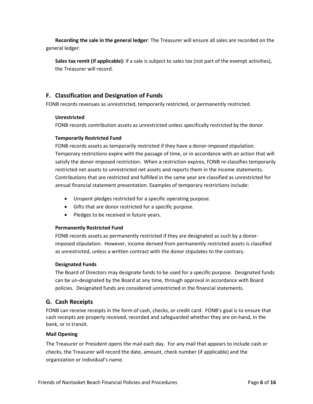**Recording the sale in the general ledger**: The Treasurer will ensure all sales are recorded on the general ledger.

**Sales tax remit (if applicable):** if a sale is subject to sales tax (not part of the exempt activities), the Treasurer will record.

# <span id="page-6-0"></span>**F. Classification and Designation of Funds**

FONB records revenues as unrestricted, temporarily restricted, or permanently restricted.

#### **Unrestricted**

FONB records contribution assets as unrestricted unless specifically restricted by the donor.

#### **Temporarily Restricted Fund**

FONB records assets as temporarily restricted if they have a donor-imposed stipulation. Temporary restrictions expire with the passage of time, or in accordance with an action that will satisfy the donor-imposed restriction. When a restriction expires, FONB re-classifies temporarily restricted net assets to unrestricted net assets and reports them in the income statements. Contributions that are restricted and fulfilled in the same year are classified as unrestricted for annual financial statement presentation. Examples of temporary restrictions include:

- Unspent pledges restricted for a specific operating purpose.
- Gifts that are donor restricted for a specific purpose.
- Pledges to be received in future years.

#### **Permanently Restricted Fund**

FONB records assets as permanently restricted if they are designated as such by a donorimposed stipulation. However, income derived from permanently restricted assets is classified as unrestricted, unless a written contract with the donor stipulates to the contrary.

#### **Designated Funds**

The Board of Directors may designate funds to be used for a specific purpose. Designated funds can be un-designated by the Board at any time, through approval in accordance with Board policies. Designated funds are considered unrestricted in the financial statements.

## <span id="page-6-1"></span>**G. Cash Receipts**

FONB can receive receipts in the form of cash, checks, or credit card. FONB's goal is to ensure that cash receipts are properly received, recorded and safeguarded whether they are on-hand, in the bank, or in transit.

#### **Mail Opening**

The Treasurer or President opens the mail each day. For any mail that appears to include cash or checks, the Treasurer will record the date, amount, check number (if applicable) and the organization or individual's name.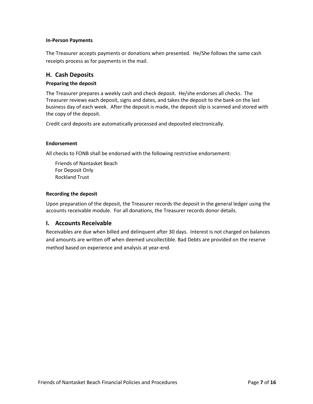#### **In-Person Payments**

The Treasurer accepts payments or donations when presented. He/She follows the same cash receipts process as for payments in the mail.

## <span id="page-7-0"></span>**H. Cash Deposits**

#### **Preparing the deposit**

The Treasurer prepares a weekly cash and check deposit. He/she endorses all checks. The Treasurer reviews each deposit, signs and dates, and takes the deposit to the bank on the last business day of each week. After the deposit is made, the deposit slip is scanned and stored with the copy of the deposit.

Credit card deposits are automatically processed and deposited electronically.

#### **Endorsement**

All checks to FONB shall be endorsed with the following restrictive endorsement:

Friends of Nantasket Beach For Deposit Only Rockland Trust

#### **Recording the deposit**

Upon preparation of the deposit, the Treasurer records the deposit in the general ledger using the accounts receivable module. For all donations, the Treasurer records donor details.

## <span id="page-7-1"></span>**I. Accounts Receivable**

Receivables are due when billed and delinquent after 30 days. Interest is not charged on balances and amounts are written off when deemed uncollectible. Bad Debts are provided on the reserve method based on experience and analysis at year-end.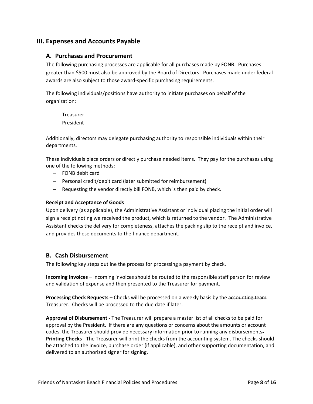# <span id="page-8-1"></span><span id="page-8-0"></span>**III. Expenses and Accounts Payable**

#### **A. Purchases and Procurement**

The following purchasing processes are applicable for all purchases made by FONB. Purchases greater than \$500 must also be approved by the Board of Directors. Purchases made under federal awards are also subject to those award-specific purchasing requirements.

The following individuals/positions have authority to initiate purchases on behalf of the organization:

- − Treasurer
- − President

Additionally, directors may delegate purchasing authority to responsible individuals within their departments.

These individuals place orders or directly purchase needed items. They pay for the purchases using one of the following methods:

- − FONB debit card
- − Personal credit/debit card (later submitted for reimbursement)
- − Requesting the vendor directly bill FONB, which is then paid by check.

#### **Receipt and Acceptance of Goods**

Upon delivery (as applicable), the Administrative Assistant or individual placing the initial order will sign a receipt noting we received the product, which is returned to the vendor. The Administrative Assistant checks the delivery for completeness, attaches the packing slip to the receipt and invoice, and provides these documents to the finance department.

## <span id="page-8-2"></span>**B. Cash Disbursement**

The following key steps outline the process for processing a payment by check.

**Incoming Invoices** – Incoming invoices should be routed to the responsible staff person for review and validation of expense and then presented to the Treasurer for payment.

**Processing Check Requests** – Checks will be processed on a weekly basis by the accounting team Treasurer. Checks will be processed to the due date if later.

**Approval of Disbursement -** The Treasurer will prepare a master list of all checks to be paid for approval by the President. If there are any questions or concerns about the amounts or account codes, the Treasurer should provide necessary information prior to running any disbursements. **Printing Checks** - The Treasurer will print the checks from the accounting system. The checks should be attached to the invoice, purchase order (if applicable), and other supporting documentation, and delivered to an authorized signer for signing.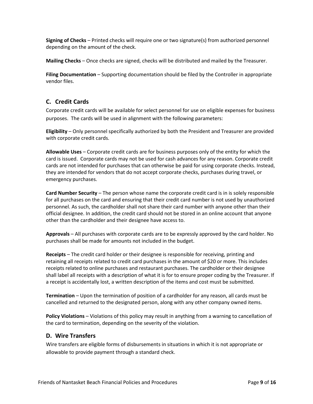**Signing of Checks** – Printed checks will require one or two signature(s) from authorized personnel depending on the amount of the check.

**Mailing Checks** – Once checks are signed, checks will be distributed and mailed by the Treasurer.

**Filing Documentation** – Supporting documentation should be filed by the Controller in appropriate vendor files.

# <span id="page-9-0"></span>**C. Credit Cards**

Corporate credit cards will be available for select personnel for use on eligible expenses for business purposes. The cards will be used in alignment with the following parameters:

**Eligibility** – Only personnel specifically authorized by both the President and Treasurer are provided with corporate credit cards.

**Allowable Uses** – Corporate credit cards are for business purposes only of the entity for which the card is issued. Corporate cards may not be used for cash advances for any reason. Corporate credit cards are not intended for purchases that can otherwise be paid for using corporate checks. Instead, they are intended for vendors that do not accept corporate checks, purchases during travel, or emergency purchases.

**Card Number Security** – The person whose name the corporate credit card is in is solely responsible for all purchases on the card and ensuring that their credit card number is not used by unauthorized personnel. As such, the cardholder shall not share their card number with anyone other than their official designee. In addition, the credit card should not be stored in an online account that anyone other than the cardholder and their designee have access to.

**Approvals** – All purchases with corporate cards are to be expressly approved by the card holder. No purchases shall be made for amounts not included in the budget.

**Receipts** – The credit card holder or their designee is responsible for receiving, printing and retaining all receipts related to credit card purchases in the amount of \$20 or more. This includes receipts related to online purchases and restaurant purchases. The cardholder or their designee shall label all receipts with a description of what it is for to ensure proper coding by the Treasurer. If a receipt is accidentally lost, a written description of the items and cost must be submitted.

**Termination** – Upon the termination of position of a cardholder for any reason, all cards must be cancelled and returned to the designated person, along with any other company owned items.

**Policy Violations** – Violations of this policy may result in anything from a warning to cancellation of the card to termination, depending on the severity of the violation.

# <span id="page-9-1"></span>**D. Wire Transfers**

Wire transfers are eligible forms of disbursements in situations in which it is not appropriate or allowable to provide payment through a standard check.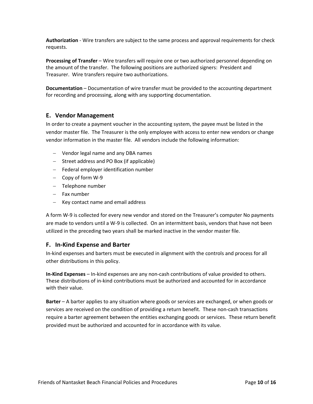**Authorization** - Wire transfers are subject to the same process and approval requirements for check requests.

**Processing of Transfer** – Wire transfers will require one or two authorized personnel depending on the amount of the transfer. The following positions are authorized signers: President and Treasurer. Wire transfers require two authorizations.

**Documentation** – Documentation of wire transfer must be provided to the accounting department for recording and processing, along with any supporting documentation.

# <span id="page-10-0"></span>**E. Vendor Management**

In order to create a payment voucher in the accounting system, the payee must be listed in the vendor master file. The Treasurer is the only employee with access to enter new vendors or change vendor information in the master file. All vendors include the following information:

- − Vendor legal name and any DBA names
- − Street address and PO Box (if applicable)
- − Federal employer identification number
- − Copy of form W-9
- − Telephone number
- − Fax number
- − Key contact name and email address

A form W-9 is collected for every new vendor and stored on the Treasurer's computer No payments are made to vendors until a W-9 is collected. On an intermittent basis, vendors that have not been utilized in the preceding two years shall be marked inactive in the vendor master file.

## <span id="page-10-1"></span>**F. In-Kind Expense and Barter**

In-kind expenses and barters must be executed in alignment with the controls and process for all other distributions in this policy.

**In-Kind Expenses** – In-kind expenses are any non-cash contributions of value provided to others. These distributions of in-kind contributions must be authorized and accounted for in accordance with their value.

**Barter** – A barter applies to any situation where goods or services are exchanged, or when goods or services are received on the condition of providing a return benefit. These non-cash transactions require a barter agreement between the entities exchanging goods or services. These return benefit provided must be authorized and accounted for in accordance with its value.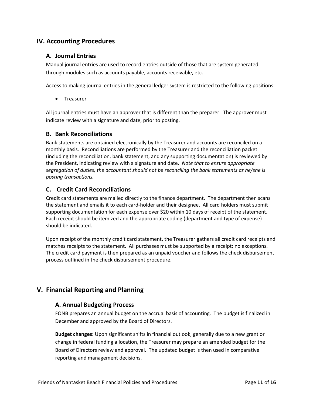# <span id="page-11-1"></span><span id="page-11-0"></span>**IV. Accounting Procedures**

# **A. Journal Entries**

Manual journal entries are used to record entries outside of those that are system generated through modules such as accounts payable, accounts receivable, etc.

Access to making journal entries in the general ledger system is restricted to the following positions:

• Treasurer

All journal entries must have an approver that is different than the preparer. The approver must indicate review with a signature and date, prior to posting.

# <span id="page-11-2"></span>**B. Bank Reconciliations**

Bank statements are obtained electronically by the Treasurer and accounts are reconciled on a monthly basis. Reconciliations are performed by the Treasurer and the reconciliation packet (including the reconciliation, bank statement, and any supporting documentation) is reviewed by the President, indicating review with a signature and date. *Note that to ensure appropriate segregation of duties, the accountant should not be reconciling the bank statements as he/she is posting transactions.*

# <span id="page-11-3"></span>**C. Credit Card Reconciliations**

Credit card statements are mailed directly to the finance department. The department then scans the statement and emails it to each card-holder and their designee. All card holders must submit supporting documentation for each expense over \$20 within 10 days of receipt of the statement. Each receipt should be itemized and the appropriate coding (department and type of expense) should be indicated.

Upon receipt of the monthly credit card statement, the Treasurer gathers all credit card receipts and matches receipts to the statement. All purchases must be supported by a receipt; no exceptions. The credit card payment is then prepared as an unpaid voucher and follows the check disbursement process outlined in the check disbursement procedure.

# <span id="page-11-5"></span><span id="page-11-4"></span>**V. Financial Reporting and Planning**

## **A. Annual Budgeting Process**

FONB prepares an annual budget on the accrual basis of accounting. The budget is finalized in December and approved by the Board of Directors.

**Budget changes:** Upon significant shifts in financial outlook, generally due to a new grant or change in federal funding allocation, the Treasurer may prepare an amended budget for the Board of Directors review and approval. The updated budget is then used in comparative reporting and management decisions.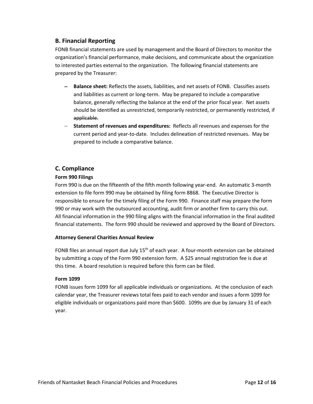# <span id="page-12-0"></span>**B. Financial Reporting**

FONB financial statements are used by management and the Board of Directors to monitor the organization's financial performance, make decisions, and communicate about the organization to interested parties external to the organization. The following financial statements are prepared by the Treasurer:

- − **Balance sheet:** Reflects the assets, liabilities, and net assets of FONB. Classifies assets and liabilities as current or long-term. May be prepared to include a comparative balance, generally reflecting the balance at the end of the prior fiscal year. Net assets should be identified as unrestricted, temporarily restricted, or permanently restricted, if applicable.
- − **Statement of revenues and expenditures:** Reflects all revenues and expenses for the current period and year-to-date. Includes delineation of restricted revenues. May be prepared to include a comparative balance.

# <span id="page-12-1"></span>**C. Compliance**

# **Form 990 Filings**

Form 990 is due on the fifteenth of the fifth month following year-end. An automatic 3-month extension to file form 990 may be obtained by filing form 8868. The Executive Director is responsible to ensure for the timely filing of the Form 990. Finance staff may prepare the form 990 or may work with the outsourced accounting, audit firm or another firm to carry this out. All financial information in the 990 filing aligns with the financial information in the final audited financial statements. The form 990 should be reviewed and approved by the Board of Directors.

## **Attorney General Charities Annual Review**

FONB files an annual report due July  $15<sup>th</sup>$  of each year. A four-month extension can be obtained by submitting a copy of the Form 990 extension form. A \$25 annual registration fee is due at this time. A board resolution is required before this form can be filed.

## **Form 1099**

FONB issues form 1099 for all applicable individuals or organizations. At the conclusion of each calendar year, the Treasurer reviews total fees paid to each vendor and issues a form 1099 for eligible individuals or organizations paid more than \$600. 1099s are due by January 31 of each year.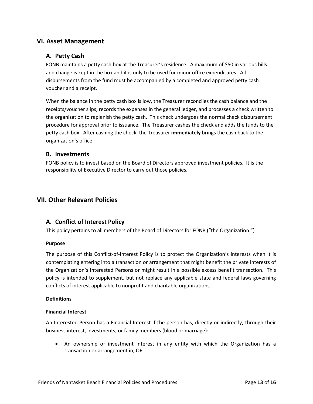# <span id="page-13-1"></span><span id="page-13-0"></span>**VI. Asset Management**

# **A. Petty Cash**

FONB maintains a petty cash box at the Treasurer's residence. A maximum of \$50 in various bills and change is kept in the box and it is only to be used for minor office expenditures. All disbursements from the fund must be accompanied by a completed and approved petty cash voucher and a receipt.

When the balance in the petty cash box is low, the Treasurer reconciles the cash balance and the receipts/voucher slips, records the expenses in the general ledger, and processes a check written to the organization to replenish the petty cash. This check undergoes the normal check disbursement procedure for approval prior to issuance. The Treasurer cashes the check and adds the funds to the petty cash box. After cashing the check, the Treasurer **immediately** brings the cash back to the organization's office.

#### <span id="page-13-2"></span>**B. Investments**

FONB policy is to invest based on the Board of Directors approved investment policies. It is the responsibility of Executive Director to carry out those policies.

# <span id="page-13-3"></span>**VII. Other Relevant Policies**

## <span id="page-13-4"></span>**A. Conflict of Interest Policy**

This policy pertains to all members of the Board of Directors for FONB ("the Organization.")

#### **Purpose**

The purpose of this Conflict-of-Interest Policy is to protect the Organization's interests when it is contemplating entering into a transaction or arrangement that might benefit the private interests of the Organization's Interested Persons or might result in a possible excess benefit transaction. This policy is intended to supplement, but not replace any applicable state and federal laws governing conflicts of interest applicable to nonprofit and charitable organizations.

#### **Definitions**

#### **Financial Interest**

An Interested Person has a Financial Interest if the person has, directly or indirectly, through their business interest, investments, or family members (blood or marriage):

• An ownership or investment interest in any entity with which the Organization has a transaction or arrangement in; OR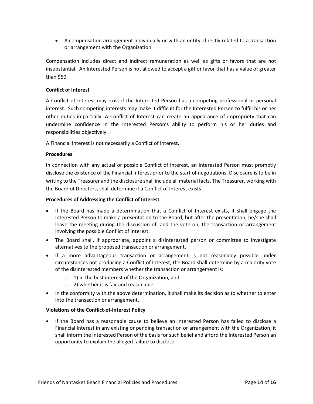• A compensation arrangement individually or with an entity, directly related to a transaction or arrangement with the Organization.

Compensation includes direct and indirect remuneration as well as gifts or favors that are not insubstantial. An Interested Person is not allowed to accept a gift or favor that has a value of greater than \$50.

#### **Conflict of Interest**

A Conflict of Interest may exist if the Interested Person has a competing professional or personal interest. Such competing interests may make it difficult for the Interested Person to fulfill his or her other duties impartially. A Conflict of Interest can create an appearance of impropriety that can undermine confidence in the Interested Person's ability to perform his or her duties and responsibilities objectively.

A Financial Interest is not necessarily a Conflict of Interest.

#### **Procedures**

In connection with any actual or possible Conflict of Interest, an Interested Person must promptly disclose the existence of the Financial Interest prior to the start of negotiations. Disclosure is to be in writing to the Treasurer and the disclosure shall include all material facts. The Treasurer, working with the Board of Directors, shall determine if a Conflict of Interest exists.

#### **Procedures of Addressing the Conflict of Interest**

- If the Board has made a determination that a Conflict of Interest exists, it shall engage the Interested Person to make a presentation to the Board, but after the presentation, he/she shall leave the meeting during the discussion of, and the vote on, the transaction or arrangement involving the possible Conflict of Interest.
- The Board shall, if appropriate, appoint a disinterested person or committee to investigate alternatives to the proposed transaction or arrangement.
- If a more advantageous transaction or arrangement is not reasonably possible under circumstances not producing a Conflict of Interest, the Board shall determine by a majority vote of the disinterested members whether the transaction or arrangement is:
	- $\circ$  1) in the best interest of the Organization, and
	- o 2) whether it is fair and reasonable.
- In the conformity with the above determination, it shall make its decision as to whether to enter into the transaction or arrangement.

#### **Violations of the Conflict-of-Interest Policy**

• If the Board has a reasonable cause to believe an Interested Person has failed to disclose a Financial Interest in any existing or pending transaction or arrangement with the Organization, it shall inform the Interested Person of the basis for such belief and afford the Interested Person an opportunity to explain the alleged failure to disclose.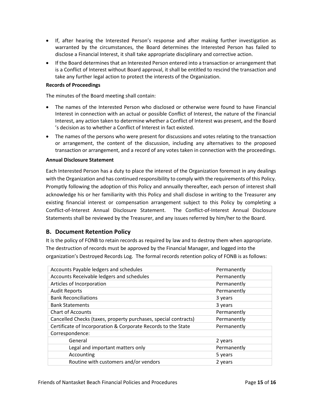- If, after hearing the Interested Person's response and after making further investigation as warranted by the circumstances, the Board determines the Interested Person has failed to disclose a Financial Interest, it shall take appropriate disciplinary and corrective action.
- If the Board determines that an Interested Person entered into a transaction or arrangement that is a Conflict of Interest without Board approval, it shall be entitled to rescind the transaction and take any further legal action to protect the interests of the Organization.

#### **Records of Proceedings**

The minutes of the Board meeting shall contain:

- The names of the Interested Person who disclosed or otherwise were found to have Financial Interest in connection with an actual or possible Conflict of Interest, the nature of the Financial Interest, any action taken to determine whether a Conflict of Interest was present, and the Board 's decision as to whether a Conflict of Interest in fact existed.
- The names of the persons who were present for discussions and votes relating to the transaction or arrangement, the content of the discussion, including any alternatives to the proposed transaction or arrangement, and a record of any votes taken in connection with the proceedings.

#### **Annual Disclosure Statement**

Each Interested Person has a duty to place the interest of the Organization foremost in any dealings with the Organization and has continued responsibility to comply with the requirements of this Policy. Promptly following the adoption of this Policy and annually thereafter, each person of interest shall acknowledge his or her familiarity with this Policy and shall disclose in writing to the Treasurer any existing financial interest or compensation arrangement subject to this Policy by completing a Conflict-of-Interest Annual Disclosure Statement. The Conflict-of-Interest Annual Disclosure Statements shall be reviewed by the Treasurer, and any issues referred by him/her to the Board.

## <span id="page-15-0"></span>**B. Document Retention Policy**

It is the policy of FONB to retain records as required by law and to destroy them when appropriate. The destruction of records must be approved by the Financial Manager, and logged into the organization's Destroyed Records Log. The formal records retention policy of FONB is as follows:

| Permanently |
|-------------|
| Permanently |
| Permanently |
| Permanently |
| 3 years     |
| 3 years     |
| Permanently |
| Permanently |
| Permanently |
|             |
| 2 years     |
| Permanently |
| 5 years     |
| 2 years     |
|             |